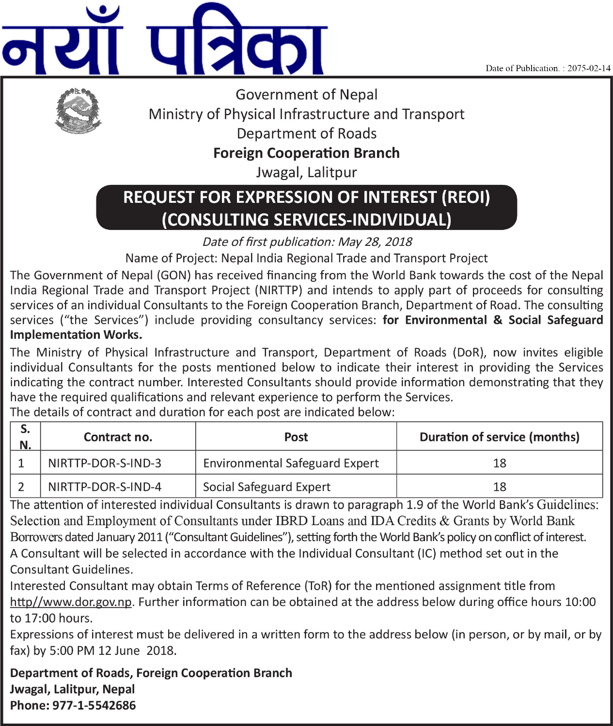Date of Publication.: 2075-02-14





**Government of Nepal** Ministry of Physical Infrastructure and Transport **Department of Roads** 

**Foreign Cooperation Branch** 

Jwagal, Lalitpur

# **REQUEST FOR EXPRESSION OF INTEREST (REOI)** (CONSULTING SERVICES-INDIVIDUAL)

Date of first publication: May 28, 2018

Name of Project: Nepal India Regional Trade and Transport Project

The Government of Nepal (GON) has received financing from the World Bank towards the cost of the Nepal India Regional Trade and Transport Project (NIRTTP) and intends to apply part of proceeds for consulting services of an individual Consultants to the Foreign Cooperation Branch. Department of Road. The consulting services ("the Services") include providing consultancy services: for Environmental & Social Safeguard **Implementation Works.** 

The Ministry of Physical Infrastructure and Transport, Department of Roads (DoR), now invites eligible individual Consultants for the posts mentioned below to indicate their interest in providing the Services indicating the contract number. Interested Consultants should provide information demonstrating that they have the required qualifications and relevant experience to perform the Services.

The details of contract and duration for each post are indicated below:

| N. | Contract no.       | Post                                  | <b>Duration of service (months)</b> |
|----|--------------------|---------------------------------------|-------------------------------------|
|    | NIRTTP-DOR-S-IND-3 | <b>Environmental Safeguard Expert</b> |                                     |
|    | NIRTTP-DOR-S-IND-4 | Social Safeguard Expert               | 18                                  |

The attention of interested individual Consultants is drawn to paragraph 1.9 of the World Bank's Guidelines: Selection and Employment of Consultants under IBRD Loans and IDA Credits & Grants by World Bank Borrowers dated January 2011 ("Consultant Guidelines"), setting forth the World Bank's policy on conflict of interest. A Consultant will be selected in accordance with the Individual Consultant (IC) method set out in the Consultant Guidelines.

Interested Consultant may obtain Terms of Reference (ToR) for the mentioned assignment title from http//www.dor.gov.np. Further information can be obtained at the address below during office hours 10:00 to 17:00 hours.

Expressions of interest must be delivered in a written form to the address below (in person, or by mail, or by fax) by 5:00 PM 12 June 2018.

**Department of Roads, Foreign Cooperation Branch** Jwagal, Lalitpur, Nepal Phone: 977-1-5542686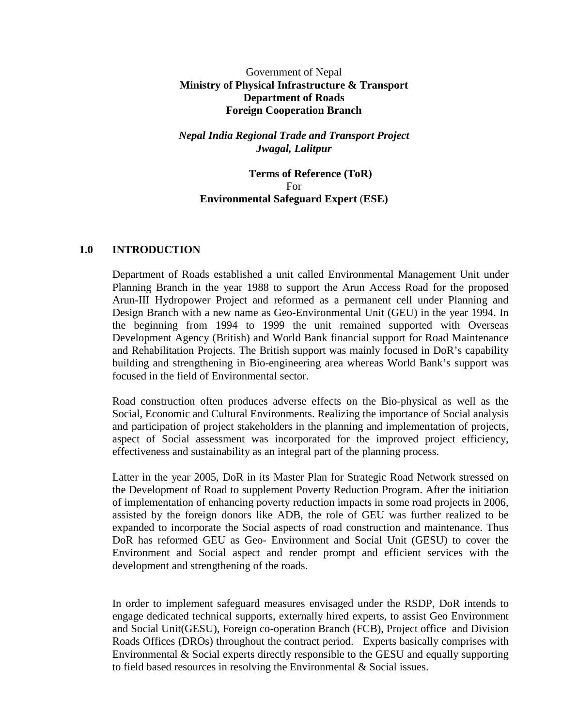#### Government of Nepal **Ministry of Physical Infrastructure & Transport Department of Roads Foreign Cooperation Branch**

#### *Nepal India Regional Trade and Transport Project Jwagal, Lalitpur*

#### **Terms of Reference (ToR)** For **Environmental Safeguard Expert** (**ESE)**

#### **1.0 INTRODUCTION**

Department of Roads established a unit called Environmental Management Unit under Planning Branch in the year 1988 to support the Arun Access Road for the proposed Arun-III Hydropower Project and reformed as a permanent cell under Planning and Design Branch with a new name as Geo-Environmental Unit (GEU) in the year 1994. In the beginning from 1994 to 1999 the unit remained supported with Overseas Development Agency (British) and World Bank financial support for Road Maintenance and Rehabilitation Projects. The British support was mainly focused in DoR's capability building and strengthening in Bio-engineering area whereas World Bank's support was focused in the field of Environmental sector.

Road construction often produces adverse effects on the Bio-physical as well as the Social, Economic and Cultural Environments. Realizing the importance of Social analysis and participation of project stakeholders in the planning and implementation of projects, aspect of Social assessment was incorporated for the improved project efficiency, effectiveness and sustainability as an integral part of the planning process.

Latter in the year 2005, DoR in its Master Plan for Strategic Road Network stressed on the Development of Road to supplement Poverty Reduction Program. After the initiation of implementation of enhancing poverty reduction impacts in some road projects in 2006, assisted by the foreign donors like ADB, the role of GEU was further realized to be expanded to incorporate the Social aspects of road construction and maintenance. Thus DoR has reformed GEU as Geo- Environment and Social Unit (GESU) to cover the Environment and Social aspect and render prompt and efficient services with the development and strengthening of the roads.

In order to implement safeguard measures envisaged under the RSDP, DoR intends to engage dedicated technical supports, externally hired experts, to assist Geo Environment and Social Unit(GESU), Foreign co-operation Branch (FCB), Project office and Division Roads Offices (DROs) throughout the contract period. Experts basically comprises with Environmental & Social experts directly responsible to the GESU and equally supporting to field based resources in resolving the Environmental & Social issues.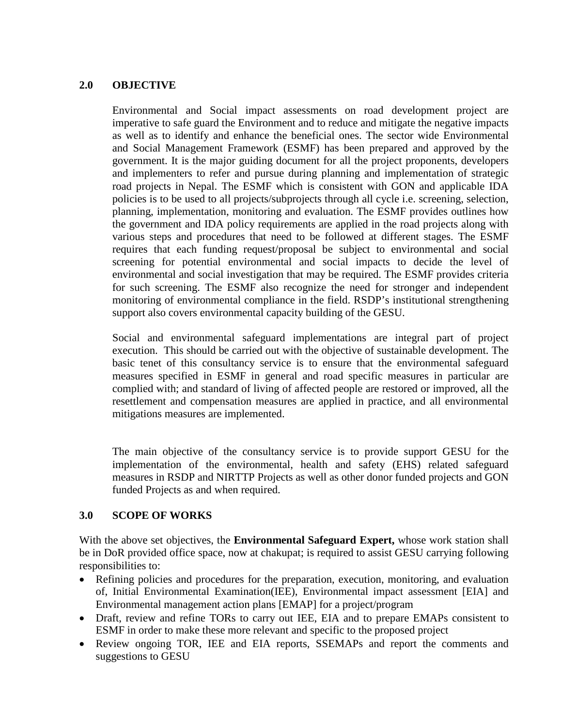#### **2.0 OBJECTIVE**

Environmental and Social impact assessments on road development project are imperative to safe guard the Environment and to reduce and mitigate the negative impacts as well as to identify and enhance the beneficial ones. The sector wide Environmental and Social Management Framework (ESMF) has been prepared and approved by the government. It is the major guiding document for all the project proponents, developers and implementers to refer and pursue during planning and implementation of strategic road projects in Nepal. The ESMF which is consistent with GON and applicable IDA policies is to be used to all projects/subprojects through all cycle i.e. screening, selection, planning, implementation, monitoring and evaluation. The ESMF provides outlines how the government and IDA policy requirements are applied in the road projects along with various steps and procedures that need to be followed at different stages. The ESMF requires that each funding request/proposal be subject to environmental and social screening for potential environmental and social impacts to decide the level of environmental and social investigation that may be required. The ESMF provides criteria for such screening. The ESMF also recognize the need for stronger and independent monitoring of environmental compliance in the field. RSDP's institutional strengthening support also covers environmental capacity building of the GESU.

Social and environmental safeguard implementations are integral part of project execution. This should be carried out with the objective of sustainable development. The basic tenet of this consultancy service is to ensure that the environmental safeguard measures specified in ESMF in general and road specific measures in particular are complied with; and standard of living of affected people are restored or improved, all the resettlement and compensation measures are applied in practice, and all environmental mitigations measures are implemented.

The main objective of the consultancy service is to provide support GESU for the implementation of the environmental, health and safety (EHS) related safeguard measures in RSDP and NIRTTP Projects as well as other donor funded projects and GON funded Projects as and when required.

## **3.0 SCOPE OF WORKS**

With the above set objectives, the **Environmental Safeguard Expert,** whose work station shall be in DoR provided office space, now at chakupat; is required to assist GESU carrying following responsibilities to:

- Refining policies and procedures for the preparation, execution, monitoring, and evaluation of, Initial Environmental Examination(IEE), Environmental impact assessment [EIA] and Environmental management action plans [EMAP] for a project/program
- Draft, review and refine TORs to carry out IEE, EIA and to prepare EMAPs consistent to ESMF in order to make these more relevant and specific to the proposed project
- Review ongoing TOR, IEE and EIA reports, SSEMAPs and report the comments and suggestions to GESU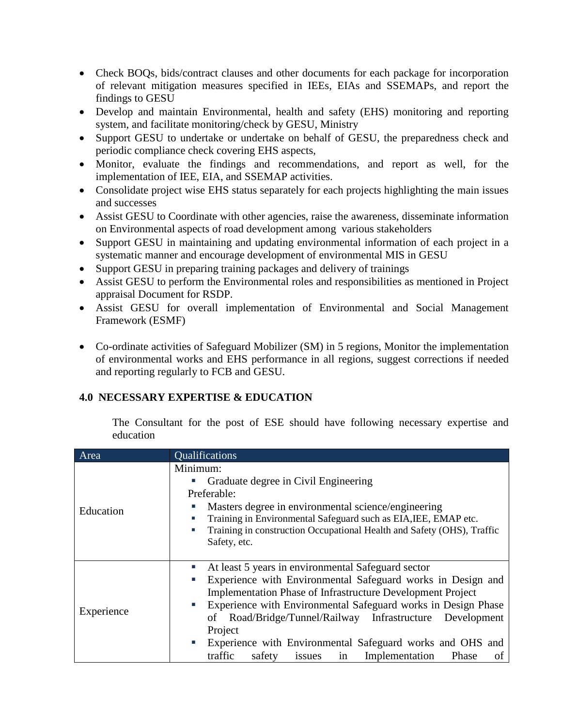- Check BOQs, bids/contract clauses and other documents for each package for incorporation of relevant mitigation measures specified in IEEs, EIAs and SSEMAPs, and report the findings to GESU
- Develop and maintain Environmental, health and safety (EHS) monitoring and reporting system, and facilitate monitoring/check by GESU, Ministry
- Support GESU to undertake or undertake on behalf of GESU, the preparedness check and periodic compliance check covering EHS aspects,
- Monitor, evaluate the findings and recommendations, and report as well, for the implementation of IEE, EIA, and SSEMAP activities.
- Consolidate project wise EHS status separately for each projects highlighting the main issues and successes
- Assist GESU to Coordinate with other agencies, raise the awareness, disseminate information on Environmental aspects of road development among various stakeholders
- Support GESU in maintaining and updating environmental information of each project in a systematic manner and encourage development of environmental MIS in GESU
- Support GESU in preparing training packages and delivery of trainings
- Assist GESU to perform the Environmental roles and responsibilities as mentioned in Project appraisal Document for RSDP.
- Assist GESU for overall implementation of Environmental and Social Management Framework (ESMF)
- Co-ordinate activities of Safeguard Mobilizer (SM) in 5 regions, Monitor the implementation of environmental works and EHS performance in all regions, suggest corrections if needed and reporting regularly to FCB and GESU.

## **4.0 NECESSARY EXPERTISE & EDUCATION**

The Consultant for the post of ESE should have following necessary expertise and education

| Area       | Qualifications                                                                                                                                                                                                                                                                                                                                                                                                                                                                          |
|------------|-----------------------------------------------------------------------------------------------------------------------------------------------------------------------------------------------------------------------------------------------------------------------------------------------------------------------------------------------------------------------------------------------------------------------------------------------------------------------------------------|
| Education  | Minimum:<br>Graduate degree in Civil Engineering<br>Preferable:<br>Masters degree in environmental science/engineering<br>п<br>Training in Environmental Safeguard such as EIA, IEE, EMAP etc.<br>×.<br>Training in construction Occupational Health and Safety (OHS), Traffic<br>×.<br>Safety, etc.                                                                                                                                                                                    |
| Experience | At least 5 years in environmental Safeguard sector<br>L.<br>Experience with Environmental Safeguard works in Design and<br>п<br><b>Implementation Phase of Infrastructure Development Project</b><br>Experience with Environmental Safeguard works in Design Phase<br>U.<br>of Road/Bridge/Tunnel/Railway Infrastructure Development<br>Project<br>Experience with Environmental Safeguard works and OHS and<br>×<br>traffic<br>safety<br>Implementation<br>in<br>Phase<br>issues<br>οf |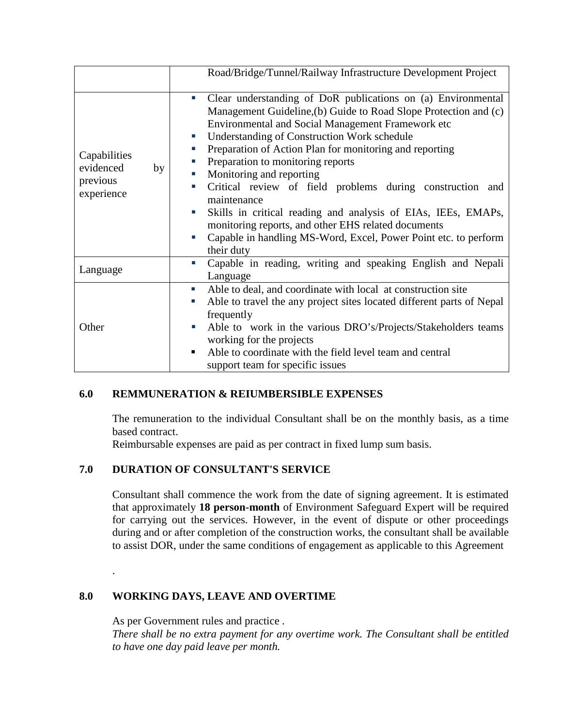|                                                           | Road/Bridge/Tunnel/Railway Infrastructure Development Project                                                                                                                                                                                                                                                                                                                                                                                                                                                                                                                                                                                                                                            |
|-----------------------------------------------------------|----------------------------------------------------------------------------------------------------------------------------------------------------------------------------------------------------------------------------------------------------------------------------------------------------------------------------------------------------------------------------------------------------------------------------------------------------------------------------------------------------------------------------------------------------------------------------------------------------------------------------------------------------------------------------------------------------------|
| Capabilities<br>evidenced<br>by<br>previous<br>experience | Clear understanding of DoR publications on (a) Environmental<br>×.<br>Management Guideline, (b) Guide to Road Slope Protection and (c)<br>Environmental and Social Management Framework etc<br><b>Understanding of Construction Work schedule</b><br>ш<br>Preparation of Action Plan for monitoring and reporting<br>ш<br>Preparation to monitoring reports<br>E<br>Monitoring and reporting<br>L.<br>Critical review of field problems during construction and<br>п<br>maintenance<br>Skills in critical reading and analysis of EIAs, IEEs, EMAPs,<br>×.<br>monitoring reports, and other EHS related documents<br>Capable in handling MS-Word, Excel, Power Point etc. to perform<br>×.<br>their duty |
| Language                                                  | Capable in reading, writing and speaking English and Nepali<br>×<br>Language                                                                                                                                                                                                                                                                                                                                                                                                                                                                                                                                                                                                                             |
| Other                                                     | Able to deal, and coordinate with local at construction site<br>ш<br>Able to travel the any project sites located different parts of Nepal<br>L.<br>frequently<br>Able to work in the various DRO's/Projects/Stakeholders teams<br>L.<br>working for the projects<br>Able to coordinate with the field level team and central<br>п<br>support team for specific issues                                                                                                                                                                                                                                                                                                                                   |

## **6.0 REMMUNERATION & REIUMBERSIBLE EXPENSES**

The remuneration to the individual Consultant shall be on the monthly basis, as a time based contract.

Reimbursable expenses are paid as per contract in fixed lump sum basis.

# **7.0 DURATION OF CONSULTANT'S SERVICE**

Consultant shall commence the work from the date of signing agreement. It is estimated that approximately **18 person-month** of Environment Safeguard Expert will be required for carrying out the services. However, in the event of dispute or other proceedings during and or after completion of the construction works, the consultant shall be available to assist DOR, under the same conditions of engagement as applicable to this Agreement

## **8.0 WORKING DAYS, LEAVE AND OVERTIME**

As per Government rules and practice *.* 

.

*There shall be no extra payment for any overtime work. The Consultant shall be entitled to have one day paid leave per month.*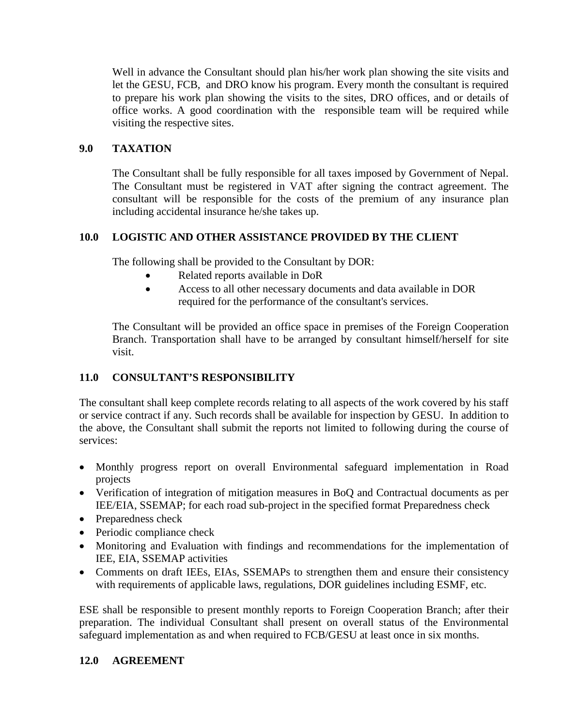Well in advance the Consultant should plan his/her work plan showing the site visits and let the GESU, FCB, and DRO know his program. Every month the consultant is required to prepare his work plan showing the visits to the sites, DRO offices, and or details of office works. A good coordination with the responsible team will be required while visiting the respective sites.

# **9.0 TAXATION**

The Consultant shall be fully responsible for all taxes imposed by Government of Nepal. The Consultant must be registered in VAT after signing the contract agreement. The consultant will be responsible for the costs of the premium of any insurance plan including accidental insurance he/she takes up.

# **10.0 LOGISTIC AND OTHER ASSISTANCE PROVIDED BY THE CLIENT**

The following shall be provided to the Consultant by DOR:

- Related reports available in DoR
- Access to all other necessary documents and data available in DOR required for the performance of the consultant's services.

The Consultant will be provided an office space in premises of the Foreign Cooperation Branch. Transportation shall have to be arranged by consultant himself/herself for site visit.

# **11.0 CONSULTANT'S RESPONSIBILITY**

The consultant shall keep complete records relating to all aspects of the work covered by his staff or service contract if any. Such records shall be available for inspection by GESU. In addition to the above, the Consultant shall submit the reports not limited to following during the course of services:

- Monthly progress report on overall Environmental safeguard implementation in Road projects
- Verification of integration of mitigation measures in BoQ and Contractual documents as per IEE/EIA, SSEMAP; for each road sub-project in the specified format Preparedness check
- Preparedness check
- Periodic compliance check
- Monitoring and Evaluation with findings and recommendations for the implementation of IEE, EIA, SSEMAP activities
- Comments on draft IEEs, EIAs, SSEMAPs to strengthen them and ensure their consistency with requirements of applicable laws, regulations, DOR guidelines including ESMF, etc.

ESE shall be responsible to present monthly reports to Foreign Cooperation Branch; after their preparation. The individual Consultant shall present on overall status of the Environmental safeguard implementation as and when required to FCB/GESU at least once in six months.

## **12.0 AGREEMENT**